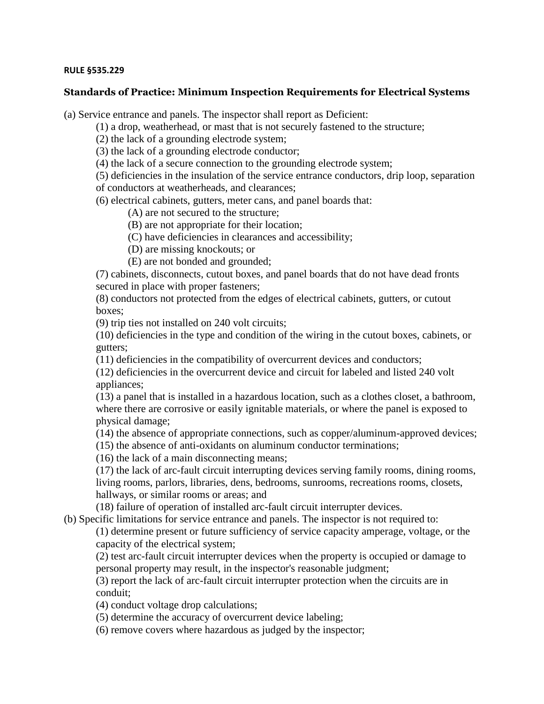## **RULE §535.229**

## **Standards of Practice: Minimum Inspection Requirements for Electrical Systems**

(a) Service entrance and panels. The inspector shall report as Deficient:

(1) a drop, weatherhead, or mast that is not securely fastened to the structure;

(2) the lack of a grounding electrode system;

(3) the lack of a grounding electrode conductor;

(4) the lack of a secure connection to the grounding electrode system;

(5) deficiencies in the insulation of the service entrance conductors, drip loop, separation

of conductors at weatherheads, and clearances;

(6) electrical cabinets, gutters, meter cans, and panel boards that:

(A) are not secured to the structure;

(B) are not appropriate for their location;

(C) have deficiencies in clearances and accessibility;

(D) are missing knockouts; or

(E) are not bonded and grounded;

(7) cabinets, disconnects, cutout boxes, and panel boards that do not have dead fronts secured in place with proper fasteners;

(8) conductors not protected from the edges of electrical cabinets, gutters, or cutout boxes;

(9) trip ties not installed on 240 volt circuits;

(10) deficiencies in the type and condition of the wiring in the cutout boxes, cabinets, or gutters;

(11) deficiencies in the compatibility of overcurrent devices and conductors;

(12) deficiencies in the overcurrent device and circuit for labeled and listed 240 volt appliances;

(13) a panel that is installed in a hazardous location, such as a clothes closet, a bathroom, where there are corrosive or easily ignitable materials, or where the panel is exposed to physical damage;

(14) the absence of appropriate connections, such as copper/aluminum-approved devices;

(15) the absence of anti-oxidants on aluminum conductor terminations;

(16) the lack of a main disconnecting means;

(17) the lack of arc-fault circuit interrupting devices serving family rooms, dining rooms, living rooms, parlors, libraries, dens, bedrooms, sunrooms, recreations rooms, closets, hallways, or similar rooms or areas; and

(18) failure of operation of installed arc-fault circuit interrupter devices.

(b) Specific limitations for service entrance and panels. The inspector is not required to:

(1) determine present or future sufficiency of service capacity amperage, voltage, or the capacity of the electrical system;

(2) test arc-fault circuit interrupter devices when the property is occupied or damage to personal property may result, in the inspector's reasonable judgment;

(3) report the lack of arc-fault circuit interrupter protection when the circuits are in conduit;

(4) conduct voltage drop calculations;

(5) determine the accuracy of overcurrent device labeling;

(6) remove covers where hazardous as judged by the inspector;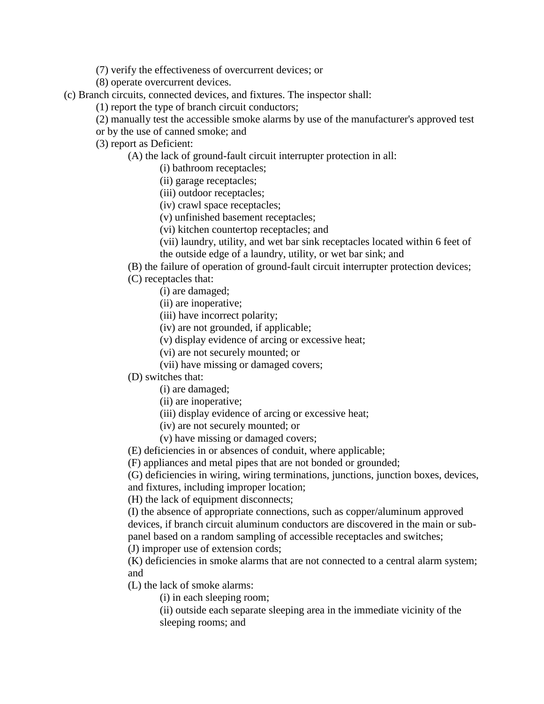(7) verify the effectiveness of overcurrent devices; or

(8) operate overcurrent devices.

(c) Branch circuits, connected devices, and fixtures. The inspector shall:

(1) report the type of branch circuit conductors;

(2) manually test the accessible smoke alarms by use of the manufacturer's approved test

or by the use of canned smoke; and

(3) report as Deficient:

(A) the lack of ground-fault circuit interrupter protection in all:

(i) bathroom receptacles;

(ii) garage receptacles;

(iii) outdoor receptacles;

(iv) crawl space receptacles;

(v) unfinished basement receptacles;

(vi) kitchen countertop receptacles; and

(vii) laundry, utility, and wet bar sink receptacles located within 6 feet of the outside edge of a laundry, utility, or wet bar sink; and

(B) the failure of operation of ground-fault circuit interrupter protection devices;

(C) receptacles that:

(i) are damaged;

(ii) are inoperative;

(iii) have incorrect polarity;

(iv) are not grounded, if applicable;

(v) display evidence of arcing or excessive heat;

(vi) are not securely mounted; or

(vii) have missing or damaged covers;

(D) switches that:

(i) are damaged;

(ii) are inoperative;

(iii) display evidence of arcing or excessive heat;

(iv) are not securely mounted; or

(v) have missing or damaged covers;

(E) deficiencies in or absences of conduit, where applicable;

(F) appliances and metal pipes that are not bonded or grounded;

(G) deficiencies in wiring, wiring terminations, junctions, junction boxes, devices, and fixtures, including improper location;

(H) the lack of equipment disconnects;

(I) the absence of appropriate connections, such as copper/aluminum approved devices, if branch circuit aluminum conductors are discovered in the main or subpanel based on a random sampling of accessible receptacles and switches;

(J) improper use of extension cords;

(K) deficiencies in smoke alarms that are not connected to a central alarm system; and

(L) the lack of smoke alarms:

(i) in each sleeping room;

(ii) outside each separate sleeping area in the immediate vicinity of the sleeping rooms; and